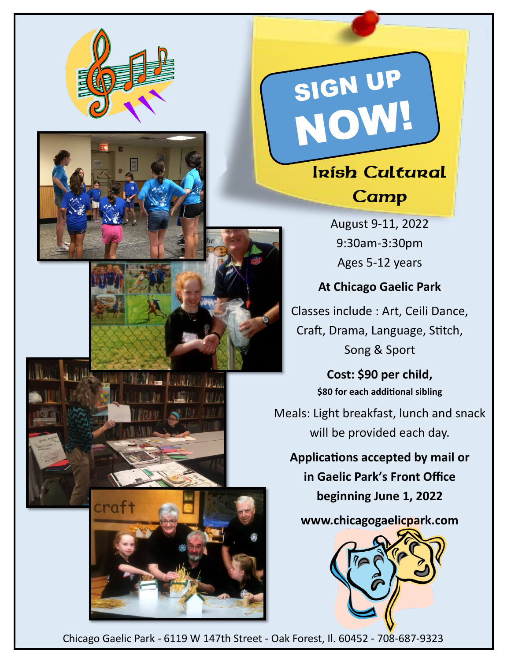







## Irish Cultural **Camp**

SIGN UP<br>NOW!

August 9-11, 2022 9:30am-3:30pm Ages 5-12 years

## **At Chicago Gaelic Park**

Classes include : Art, Ceili Dance, Craft, Drama, Language, Stitch, Song & Sport

> **Cost: \$90 per child, \$80 for each additional sibling**

Meals: Light breakfast, lunch and snack will be provided each day.

**Applications accepted by mail or in Gaelic Park's Front Office beginning June 1, 2022**

**www.chicagogaelicpark.com**



Chicago Gaelic Park - 6119 W 147th Street - Oak Forest, Il. 60452 - 708-687-9323